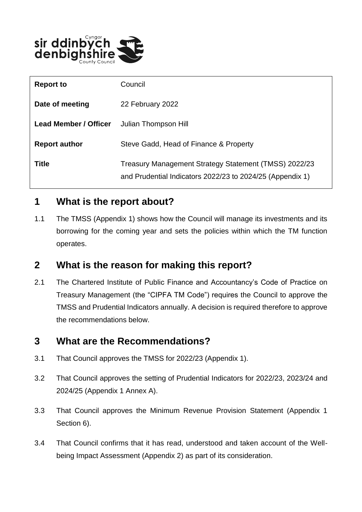

| <b>Report to</b>             | Council                                                                                                            |
|------------------------------|--------------------------------------------------------------------------------------------------------------------|
| Date of meeting              | 22 February 2022                                                                                                   |
| <b>Lead Member / Officer</b> | Julian Thompson Hill                                                                                               |
| <b>Report author</b>         | Steve Gadd, Head of Finance & Property                                                                             |
| <b>Title</b>                 | Treasury Management Strategy Statement (TMSS) 2022/23<br>and Prudential Indicators 2022/23 to 2024/25 (Appendix 1) |

## **1 What is the report about?**

1.1 The TMSS (Appendix 1) shows how the Council will manage its investments and its borrowing for the coming year and sets the policies within which the TM function operates.

#### **2 What is the reason for making this report?**

2.1 The Chartered Institute of Public Finance and Accountancy's Code of Practice on Treasury Management (the "CIPFA TM Code") requires the Council to approve the TMSS and Prudential Indicators annually. A decision is required therefore to approve the recommendations below.

#### **3 What are the Recommendations?**

- 3.1 That Council approves the TMSS for 2022/23 (Appendix 1).
- 3.2 That Council approves the setting of Prudential Indicators for 2022/23, 2023/24 and 2024/25 (Appendix 1 Annex A).
- 3.3 That Council approves the Minimum Revenue Provision Statement (Appendix 1 Section 6).
- 3.4 That Council confirms that it has read, understood and taken account of the Wellbeing Impact Assessment (Appendix 2) as part of its consideration.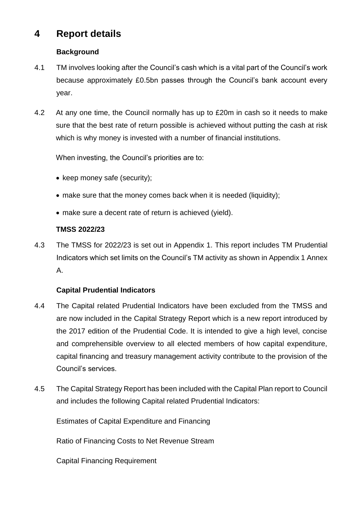# **4 Report details**

#### **Background**

- 4.1 TM involves looking after the Council's cash which is a vital part of the Council's work because approximately £0.5bn passes through the Council's bank account every year.
- 4.2 At any one time, the Council normally has up to £20m in cash so it needs to make sure that the best rate of return possible is achieved without putting the cash at risk which is why money is invested with a number of financial institutions.

When investing, the Council's priorities are to:

- keep money safe (security);
- make sure that the money comes back when it is needed (liquidity);
- make sure a decent rate of return is achieved (yield).

#### **TMSS 2022/23**

4.3 The TMSS for 2022/23 is set out in Appendix 1. This report includes TM Prudential Indicators which set limits on the Council's TM activity as shown in Appendix 1 Annex A.

#### **Capital Prudential Indicators**

- 4.4 The Capital related Prudential Indicators have been excluded from the TMSS and are now included in the Capital Strategy Report which is a new report introduced by the 2017 edition of the Prudential Code. It is intended to give a high level, concise and comprehensible overview to all elected members of how capital expenditure, capital financing and treasury management activity contribute to the provision of the Council's services.
- 4.5 The Capital Strategy Report has been included with the Capital Plan report to Council and includes the following Capital related Prudential Indicators:

Estimates of Capital Expenditure and Financing

Ratio of Financing Costs to Net Revenue Stream

Capital Financing Requirement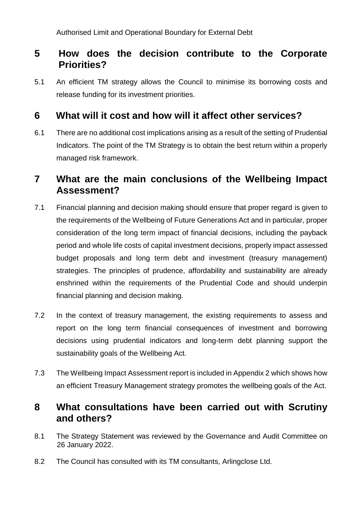## **5 How does the decision contribute to the Corporate Priorities?**

5.1 An efficient TM strategy allows the Council to minimise its borrowing costs and release funding for its investment priorities.

## **6 What will it cost and how will it affect other services?**

6.1 There are no additional cost implications arising as a result of the setting of Prudential Indicators. The point of the TM Strategy is to obtain the best return within a properly managed risk framework.

#### **7 What are the main conclusions of the Wellbeing Impact Assessment?**

- 7.1 Financial planning and decision making should ensure that proper regard is given to the requirements of the Wellbeing of Future Generations Act and in particular, proper consideration of the long term impact of financial decisions, including the payback period and whole life costs of capital investment decisions, properly impact assessed budget proposals and long term debt and investment (treasury management) strategies. The principles of prudence, affordability and sustainability are already enshrined within the requirements of the Prudential Code and should underpin financial planning and decision making.
- 7.2 In the context of treasury management, the existing requirements to assess and report on the long term financial consequences of investment and borrowing decisions using prudential indicators and long-term debt planning support the sustainability goals of the Wellbeing Act.
- 7.3 The Wellbeing Impact Assessment report is included in Appendix 2 which shows how an efficient Treasury Management strategy promotes the wellbeing goals of the Act.

#### **8 What consultations have been carried out with Scrutiny and others?**

- 8.1 The Strategy Statement was reviewed by the Governance and Audit Committee on 26 January 2022.
- 8.2 The Council has consulted with its TM consultants, Arlingclose Ltd.